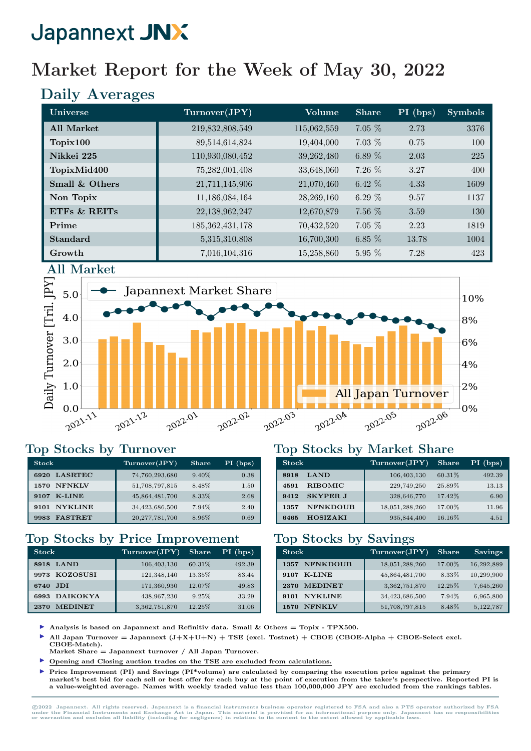## Market Report for the Week of May 30, 2022

## Daily Averages

| Universe          | Turnover(JPY)      | Volume      | <b>Share</b> | PI (bps) | <b>Symbols</b> |
|-------------------|--------------------|-------------|--------------|----------|----------------|
| <b>All Market</b> | 219,832,808,549    | 115,062,559 | $7.05\%$     | 2.73     | 3376           |
| Topix100          | 89,514,614,824     | 19,404,000  | $7.03\%$     | 0.75     | 100            |
| Nikkei 225        | 110,930,080,452    | 39,262,480  | 6.89 $%$     | 2.03     | 225            |
| TopixMid400       | 75,282,001,408     | 33,648,060  | $7.26\%$     | 3.27     | 400            |
| Small & Others    | 21,711,145,906     | 21,070,460  | $6.42\%$     | 4.33     | 1609           |
| Non Topix         | 11,186,084,164     | 28,269,160  | 6.29 $%$     | 9.57     | 1137           |
| ETFS & REITS      | 22,138,962,247     | 12,670,879  | 7.56 %       | 3.59     | 130            |
| Prime             | 185, 362, 431, 178 | 70,432,520  | $7.05\%$     | 2.23     | 1819           |
| <b>Standard</b>   | 5,315,310,808      | 16,700,300  | 6.85 $%$     | 13.78    | 1004           |
| Growth            | 7,016,104,316      | 15,258,860  | $5.95\%$     | 7.28     | 423            |





#### Top Stocks by Turnover

| <b>Stock</b>           | Turnover(JPY)     | Share    | $PI$ (bps) |
|------------------------|-------------------|----------|------------|
| <b>LASRTEC</b><br>6920 | 74,760,293,680    | $9.40\%$ | 0.38       |
| <b>NFNKLV</b><br>1570  | 51,708,797,815    | 8.48%    | 1.50       |
| K-LINE<br>9107         | 45,864,481,700    | 8.33%    | 2.68       |
| <b>NYKLINE</b><br>9101 | 34,423,686,500    | 7.94%    | 2.40       |
| <b>FASTRET</b><br>9983 | 20, 277, 781, 700 | 8.96%    | 0.69       |

### Top Stocks by Price Improvement

| <b>Stock</b>            | Turnover(JPY) | <b>Share</b> | PI (bps) |
|-------------------------|---------------|--------------|----------|
| <b>LAND</b><br>8918     | 106,403,130   | 60.31%       | 492.39   |
| 9973 KOZOSUSI           | 121,348,140   | 13.35%       | 83.44    |
| .IDI<br>6740            | 171,360,930   | 12.07%       | 49.83    |
| <b>DAIKOKYA</b><br>6993 | 438,967,230   | 9.25%        | 33.29    |
| <b>MEDINET</b><br>2370  | 3,362,751,870 | 12.25%       | 31.06    |

#### Top Stocks by Market Share

| <b>Stock</b>            | Turnover(JPY)  | <b>Share</b> | $PI$ (bps) |
|-------------------------|----------------|--------------|------------|
| <b>LAND</b><br>8918     | 106,403,130    | 60.31%       | 492.39     |
| <b>RIBOMIC</b><br>4591  | 229,749,250    | 25.89%       | 13.13      |
| <b>SKYPER J</b><br>9412 | 328,646,770    | 17.42%       | 6.90       |
| <b>NFNKDOUB</b><br>1357 | 18,051,288,260 | 17.00%       | 11.96      |
| <b>HOSIZAKI</b><br>6465 | 935,844,400    | 16.16%       | 4.51       |

#### Top Stocks by Savings

| <b>Stock</b>            | Turnover(JPY)  | <b>Share</b> | <b>Savings</b> |
|-------------------------|----------------|--------------|----------------|
| <b>NFNKDOUB</b><br>1357 | 18,051,288,260 | 17.00%       | 16,292,889     |
| <b>K-LINE</b><br>9107   | 45,864,481,700 | 8.33%        | 10,299,900     |
| <b>MEDINET</b><br>2370  | 3,362,751,870  | 12.25%       | 7,645,260      |
| <b>NYKLINE</b><br>9101  | 34,423,686,500 | 7.94%        | 6,965,800      |
| <b>NFNKLV</b><br>1570   | 51,708,797,815 | 8.48%        | 5,122,787      |

- Analysis is based on Japannext and Refinitiv data. Small  $\&$  Others = Topix TPX500.
- All Japan Turnover = Japannext  $(J+X+U+N)$  + TSE (excl. Tostnet) + CBOE (CBOE-Alpha + CBOE-Select excl.
- CBOE-Match). Market Share  $=$  Japannext turnover / All Japan Turnover.
- I Opening and Closing auction trades on the TSE are excluded from calculations.
- I Price Improvement (PI) and Savings (PI\*volume) are calculated by comparing the execution price against the primary market's best bid for each sell or best offer for each buy at the point of execution from the taker's perspective. Reported PI is a value-weighted average. Names with weekly traded value less than 100,000,000 JPY are excluded from the rankings tables.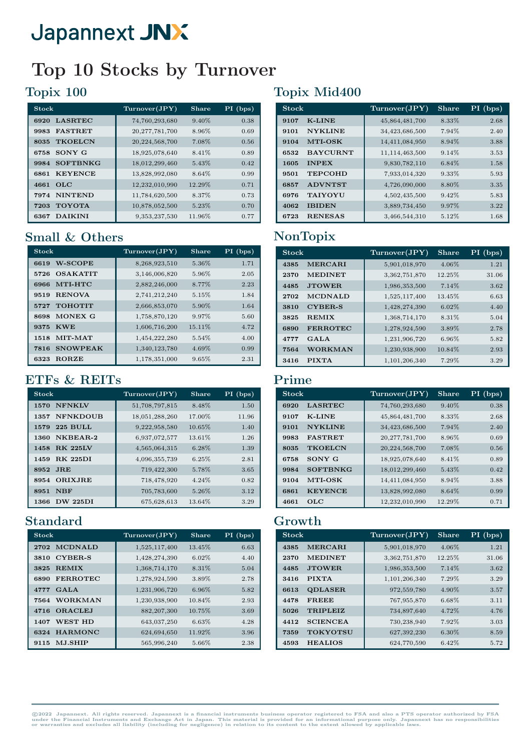## Top 10 Stocks by Turnover

### Topix 100

| <b>Stock</b>            | Turnover(JPY)     | Share  | $PI$ (bps) |
|-------------------------|-------------------|--------|------------|
| <b>LASRTEC</b><br>6920  | 74,760,293,680    | 9.40%  | 0.38       |
| <b>FASTRET</b><br>9983  | 20, 277, 781, 700 | 8.96%  | 0.69       |
| <b>TKOELCN</b><br>8035  | 20,224,568,700    | 7.08%  | 0.56       |
| SONY G<br>6758          | 18,925,078,640    | 8.41%  | 0.89       |
| <b>SOFTBNKG</b><br>9984 | 18,012,299,460    | 5.43%  | 0.42       |
| <b>KEYENCE</b><br>6861  | 13,828,992,080    | 8.64%  | 0.99       |
| $_{\rm OLC}$<br>4661    | 12,232,010,990    | 12.29% | 0.71       |
| <b>NINTEND</b><br>7974  | 11,784,620,500    | 8.37%  | 0.73       |
| <b>TOYOTA</b><br>7203   | 10,878,052,500    | 5.23%  | 0.70       |
| <b>DAIKINI</b><br>6367  | 9,353,237,530     | 11.96% | 0.77       |

### Small & Others

| Stock                   | Turnover(JPY) | Share  | $PI$ (bps) |
|-------------------------|---------------|--------|------------|
| <b>W-SCOPE</b><br>6619  | 8,268,923,510 | 5.36%  | 1.71       |
| <b>OSAKATIT</b><br>5726 | 3,146,006,820 | 5.96%  | 2.05       |
| MTI-HTC<br>6966         | 2,882,246,000 | 8.77%  | 2.23       |
| <b>RENOVA</b><br>9519   | 2,741,212,240 | 5.15%  | 1.84       |
| <b>TOHOTIT</b><br>5727  | 2,666,853,070 | 5.90%  | 1.64       |
| MONEX G<br>8698         | 1,758,870,120 | 9.97%  | 5.60       |
| <b>KWE</b><br>9375      | 1,606,716,200 | 15.11% | 4.72       |
| MIT-MAT<br>1518         | 1,454,222,280 | 5.54%  | 4.00       |
| <b>SNOWPEAK</b><br>7816 | 1,340,123,780 | 4.69%  | 0.99       |
| <b>RORZE</b><br>6323    | 1,178,351,000 | 9.65%  | 2.31       |

### ETFs & REITs

| <b>Stock</b>            | Turnover(JPY)  | <b>Share</b> | PI (bps) |
|-------------------------|----------------|--------------|----------|
| <b>NFNKLV</b><br>1570   | 51,708,797,815 | 8.48%        | 1.50     |
| <b>NFNKDOUB</b><br>1357 | 18,051,288,260 | 17.00%       | 11.96    |
| <b>225 BULL</b><br>1579 | 9,222,958,580  | 10.65%       | 1.40     |
| NKBEAR-2<br>1360        | 6,937,072,577  | 13.61%       | 1.26     |
| <b>RK 225LV</b><br>1458 | 4,565,064,315  | 6.28%        | 1.39     |
| <b>RK 225DI</b><br>1459 | 4,096,355,739  | 6.25%        | 2.81     |
| JRE<br>8952             | 719,422,300    | 5.78%        | 3.65     |
| <b>ORIXJRE</b><br>8954  | 718,478,920    | 4.24%        | 0.82     |
| <b>NBF</b><br>8951      | 705,783,600    | 5.26%        | 3.12     |
| <b>DW 225DI</b><br>1366 | 675,628,613    | 13.64%       | 3.29     |

### Standard

| <b>Stock</b>            | Turnover(JPY) | Share   | $PI$ (bps) |
|-------------------------|---------------|---------|------------|
| <b>MCDNALD</b><br>2702  | 1,525,117,400 | 13.45%  | 6.63       |
| <b>CYBER-S</b><br>3810  | 1,428,274,390 | 6.02%   | 4.40       |
| <b>REMIX</b><br>3825    | 1,368,714,170 | 8.31%   | 5.04       |
| <b>FERROTEC</b><br>6890 | 1,278,924,590 | 3.89%   | 2.78       |
| GAT.A<br>4777           | 1,231,906,720 | 6.96%   | 5.82       |
| <b>WORKMAN</b><br>7564  | 1,230,938,900 | 10.84\% | 2.93       |
| <b>ORACLEJ</b><br>4716  | 882, 207, 300 | 10.75%  | 3.69       |
| <b>WEST HD</b><br>1407  | 643,037,250   | 6.63%   | 4.28       |
| <b>HARMONC</b><br>6324  | 624,694,650   | 11.92%  | 3.96       |
| <b>MJ.SHIP</b><br>9115  | 565,996,240   | 5.66%   | 2.38       |

## Topix Mid400

| <b>Stock</b>            | Turnover(JPY)  | <b>Share</b> | $PI$ (bps) |
|-------------------------|----------------|--------------|------------|
| <b>K-LINE</b><br>9107   | 45,864,481,700 | 8.33%        | 2.68       |
| <b>NYKLINE</b><br>9101  | 34,423,686,500 | 7.94%        | 2.40       |
| <b>MTI-OSK</b><br>9104  | 14,411,084,950 | 8.94%        | 3.88       |
| <b>BAYCURNT</b><br>6532 | 11,114,463,500 | $9.14\%$     | 3.53       |
| <b>INPEX</b><br>1605    | 9,830,782,110  | 6.84%        | 1.58       |
| 9501<br><b>TEPCOHD</b>  | 7,933,014,320  | 9.33%        | 5.93       |
| <b>ADVNTST</b><br>6857  | 4,726,090,000  | 8.80%        | 3.35       |
| <b>TAIYOYU</b><br>6976  | 4,502,435,500  | 9.42%        | 5.83       |
| 4062<br><b>IBIDEN</b>   | 3,889,734,450  | 9.97%        | 3.22       |
| <b>RENESAS</b><br>6723  | 3,466,544,310  | 5.12%        | 1.68       |

## NonTopix

| <b>Stock</b> |                 | Turnover(JPY) | <b>Share</b> | $PI$ (bps) |
|--------------|-----------------|---------------|--------------|------------|
| 4385         | <b>MERCARI</b>  | 5,901,018,970 | 4.06%        | 1.21       |
| 2370         | <b>MEDINET</b>  | 3,362,751,870 | 12.25%       | 31.06      |
| 4485         | <b>JTOWER</b>   | 1,986,353,500 | 7.14%        | 3.62       |
| 2702         | <b>MCDNALD</b>  | 1,525,117,400 | 13.45%       | 6.63       |
| 3810         | <b>CYBER-S</b>  | 1,428,274,390 | $6.02\%$     | 4.40       |
| 3825         | <b>REMIX</b>    | 1,368,714,170 | 8.31%        | 5.04       |
| 6890         | <b>FERROTEC</b> | 1,278,924,590 | 3.89%        | 2.78       |
| 4777         | GALA            | 1,231,906,720 | 6.96%        | 5.82       |
| 7564         | <b>WORKMAN</b>  | 1,230,938,900 | 10.84%       | 2.93       |
| 3416         | <b>PIXTA</b>    | 1,101,206,340 | 7.29%        | 3.29       |

#### Prime

| <b>Stock</b> |                 | Turnover(JPY)     | <b>Share</b> | $PI$ (bps) |
|--------------|-----------------|-------------------|--------------|------------|
| 6920         | <b>LASRTEC</b>  | 74,760,293,680    | 9.40%        | 0.38       |
| 9107         | $K$ -LINE       | 45,864,481,700    | 8.33%        | 2.68       |
| 9101         | <b>NYKLINE</b>  | 34,423,686,500    | 7.94%        | 2.40       |
| 9983         | <b>FASTRET</b>  | 20, 277, 781, 700 | 8.96%        | 0.69       |
| 8035         | <b>TKOELCN</b>  | 20,224,568,700    | 7.08%        | 0.56       |
| 6758         | $SONY$ $G$      | 18,925,078,640    | 8.41\%       | 0.89       |
| 9984         | <b>SOFTBNKG</b> | 18,012,299,460    | 5.43%        | 0.42       |
| 9104         | <b>MTI-OSK</b>  | 14,411,084,950    | 8.94%        | 3.88       |
| 6861         | <b>KEYENCE</b>  | 13,828,992,080    | 8.64%        | 0.99       |
| 4661         | OLC.            | 12,232,010,990    | 12.29%       | 0.71       |

#### Growth

| <b>Stock</b> |                 | Turnover(JPY) | <b>Share</b> | $PI$ (bps) |
|--------------|-----------------|---------------|--------------|------------|
| 4385         | <b>MERCARI</b>  | 5,901,018,970 | 4.06%        | 1.21       |
| 2370         | <b>MEDINET</b>  | 3,362,751,870 | 12.25%       | 31.06      |
| 4485         | <b>JTOWER</b>   | 1,986,353,500 | 7.14%        | 3.62       |
| 3416         | <b>PIXTA</b>    | 1,101,206,340 | 7.29%        | 3.29       |
| 6613         | <b>QDLASER</b>  | 972,559,780   | 4.90%        | 3.57       |
| 4478         | <b>FREEE</b>    | 767,955,870   | 6.68%        | 3.11       |
| 5026         | <b>TRIPLEIZ</b> | 734,897,640   | 4.72%        | 4.76       |
| 4412         | <b>SCIENCEA</b> | 730,238,940   | 7.92%        | 3.03       |
| 7359         | <b>TOKYOTSU</b> | 627,392,230   | $6.30\%$     | 8.59       |
| 4593         | <b>HEALIOS</b>  | 624,770,590   | $6.42\%$     | 5.72       |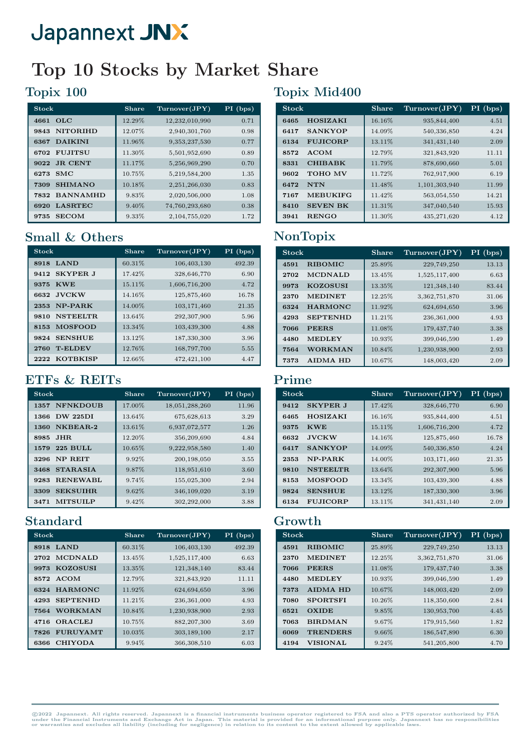## Top 10 Stocks by Market Share

## Topix 100

| <b>Stock</b>            | <b>Share</b> | Turnover(JPY)  | $PI$ (bps) |
|-------------------------|--------------|----------------|------------|
| $_{\rm OLC}$<br>4661    | 12.29%       | 12,232,010,990 | 0.71       |
| <b>NITORIHD</b><br>9843 | 12.07%       | 2,940,301,760  | 0.98       |
| <b>DAIKINI</b><br>6367  | 11.96%       | 9,353,237,530  | 0.77       |
| <b>FUJITSU</b><br>6702  | 11.30%       | 5,501,952,690  | 0.89       |
| <b>JR. CENT</b><br>9022 | 11.17%       | 5,256,969,290  | 0.70       |
| SMC<br>6273             | 10.75%       | 5,219,584,200  | 1.35       |
| <b>SHIMANO</b><br>7309  | 10.18%       | 2,251,266,030  | 0.83       |
| <b>BANNAMHD</b><br>7832 | 9.83%        | 2,020,506,000  | 1.08       |
| <b>LASRTEC</b><br>6920  | $9.40\%$     | 74,760,293,680 | 0.38       |
| <b>SECOM</b><br>9735    | 9.33%        | 2,104,755,020  | 1.72       |

## Small & Others

| <b>Stock</b>             | <b>Share</b> | Turnover(JPY) | PI (bps) |
|--------------------------|--------------|---------------|----------|
| <b>LAND</b><br>8918      | 60.31%       | 106,403,130   | 492.39   |
| 9412 SKYPER J            | 17.42%       | 328,646,770   | 6.90     |
| <b>KWE</b><br>9375       | 15.11%       | 1,606,716,200 | 4.72     |
| <b>JVCKW</b><br>6632     | 14.16%       | 125,875,460   | 16.78    |
| NP-PARK<br>2353          | 14.00%       | 103,171,460   | 21.35    |
| <b>NSTEELTR.</b><br>9810 | 13.64%       | 292,307,900   | 5.96     |
| <b>MOSFOOD</b><br>8153   | 13.34%       | 103,439,300   | 4.88     |
| <b>SENSHUE</b><br>9824   | 13.12%       | 187,330,300   | 3.96     |
| <b>T-ELDEV</b><br>2760   | 12.76%       | 168,797,700   | 5.55     |
| <b>KOTBKISP</b><br>2222  | 12.66%       | 472,421,100   | 4.47     |

## ETFs & REITs

| <b>Stock</b>            | Share    | Turnover(JPY)  | PI (bps) |
|-------------------------|----------|----------------|----------|
| <b>NFNKDOUB</b><br>1357 | 17.00%   | 18,051,288,260 | 11.96    |
| <b>DW 225DI</b><br>1366 | 13.64\%  | 675,628,613    | 3.29     |
| NKBEAR-2<br>1360        | 13.61%   | 6,937,072,577  | 1.26     |
| JHR.<br>8985            | 12.20%   | 356,209,690    | 4.84     |
| <b>225 BULL</b><br>1579 | 10.65%   | 9,222,958,580  | 1.40     |
| <b>NP REIT</b><br>3296  | 9.92%    | 200,198,050    | 3.55     |
| <b>STARASIA</b><br>3468 | 9.87%    | 118,951,610    | 3.60     |
| <b>RENEWABL</b><br>9283 | 9.74%    | 155,025,300    | 2.94     |
| <b>SEKSUIHR</b><br>3309 | 9.62%    | 346,109,020    | 3.19     |
| <b>MITSUILP</b><br>3471 | $9.42\%$ | 302,292,000    | 3.88     |

## Standard

| <b>Stock</b>            | Share  | Turnover(JPY) | $PI$ (bps) |
|-------------------------|--------|---------------|------------|
| LAND<br>8918            | 60.31% | 106,403,130   | 492.39     |
| <b>MCDNALD</b><br>2702  | 13.45% | 1,525,117,400 | 6.63       |
| <b>KOZOSUSI</b><br>9973 | 13.35% | 121,348,140   | 83.44      |
| <b>ACOM</b><br>8572     | 12.79% | 321,843,920   | 11.11      |
| <b>HARMONC</b><br>6324  | 11.92% | 624,694,650   | 3.96       |
| <b>SEPTENHD</b><br>4293 | 11.21% | 236,361,000   | 4.93       |
| <b>WORKMAN</b><br>7564  | 10.84% | 1,230,938,900 | 2.93       |
| <b>ORACLEJ</b><br>4716  | 10.75% | 882, 207, 300 | 3.69       |
| <b>FURUYAMT</b><br>7826 | 10.03% | 303,189,100   | 2.17       |
| <b>CHIYODA</b><br>6366  | 9.94%  | 366,308,510   | 6.03       |

## Topix Mid400

| <b>Stock</b> |                 | Share  | Turnover(JPY) | $PI$ (bps) |
|--------------|-----------------|--------|---------------|------------|
| 6465         | <b>HOSIZAKI</b> | 16.16% | 935,844,400   | 4.51       |
| 6417         | <b>SANKYOP</b>  | 14.09% | 540,336,850   | 4.24       |
| 6134         | <b>FUJICORP</b> | 13.11% | 341, 431, 140 | 2.09       |
| 8572         | <b>ACOM</b>     | 12.79% | 321,843,920   | 11.11      |
| 8331         | <b>CHIBABK</b>  | 11.79% | 878,690,660   | 5.01       |
| 9602         | <b>TOHO MV</b>  | 11.72% | 762,917,900   | 6.19       |
| 6472         | <b>NTN</b>      | 11.48% | 1,101,303,940 | 11.99      |
| 7167         | <b>MEBUKIFG</b> | 11.42% | 563,054,550   | 14.21      |
| 8410         | <b>SEVEN BK</b> | 11.31% | 347,040,540   | 15.93      |
| 3941         | <b>RENGO</b>    | 11.30% | 435,271,620   | 4.12       |

## NonTopix

| <b>Stock</b> |                 | <b>Share</b> | Turnover(JPY) | PI (bps) |
|--------------|-----------------|--------------|---------------|----------|
| 4591         | <b>RIBOMIC</b>  | 25.89%       | 229,749,250   | 13.13    |
| 2702         | <b>MCDNALD</b>  | 13.45%       | 1,525,117,400 | 6.63     |
| 9973         | <b>KOZOSUSI</b> | 13.35%       | 121,348,140   | 83.44    |
| 2370         | <b>MEDINET</b>  | 12.25%       | 3,362,751,870 | 31.06    |
| 6324         | <b>HARMONC</b>  | 11.92%       | 624,694,650   | 3.96     |
| 4293         | <b>SEPTENHD</b> | 11.21%       | 236,361,000   | 4.93     |
| 7066         | <b>PEERS</b>    | 11.08%       | 179, 437, 740 | 3.38     |
| 4480         | <b>MEDLEY</b>   | 10.93%       | 399,046,590   | 1.49     |
| 7564         | <b>WORKMAN</b>  | 10.84%       | 1,230,938,900 | 2.93     |
| 7373         | <b>AIDMA HD</b> | 10.67%       | 148,003,420   | 2.09     |

### Prime

| <b>Stock</b> |                  | <b>Share</b> | Turnover(JPY) | $PI$ (bps) |
|--------------|------------------|--------------|---------------|------------|
| 9412         | <b>SKYPER J</b>  | 17.42%       | 328,646,770   | 6.90       |
| 6465         | <b>HOSIZAKI</b>  | 16.16%       | 935,844,400   | 4.51       |
| 9375         | <b>KWE</b>       | 15.11%       | 1,606,716,200 | 4.72       |
| 6632         | <b>JVCKW</b>     | 14.16%       | 125,875,460   | 16.78      |
| 6417         | <b>SANKYOP</b>   | 14.09%       | 540,336,850   | 4.24       |
| 2353         | NP-PARK          | 14.00%       | 103,171,460   | 21.35      |
| 9810         | <b>NSTEELTR.</b> | 13.64%       | 292,307,900   | 5.96       |
| 8153         | <b>MOSFOOD</b>   | 13.34%       | 103,439,300   | 4.88       |
| 9824         | <b>SENSHUE</b>   | 13.12%       | 187,330,300   | 3.96       |
| 6134         | <b>FUJICORP</b>  | 13.11%       | 341, 431, 140 | 2.09       |

## Growth

| <b>Stock</b> |                 | <b>Share</b> | Turnover(JPY) | $PI$ (bps) |
|--------------|-----------------|--------------|---------------|------------|
| 4591         | <b>RIBOMIC</b>  | 25.89%       | 229,749,250   | 13.13      |
| 2370         | <b>MEDINET</b>  | 12.25%       | 3,362,751,870 | 31.06      |
| 7066         | <b>PEERS</b>    | 11.08%       | 179, 437, 740 | 3.38       |
| 4480         | <b>MEDLEY</b>   | 10.93%       | 399,046,590   | 1.49       |
| 7373         | <b>AIDMA HD</b> | 10.67%       | 148,003,420   | 2.09       |
| 7080         | <b>SPORTSFI</b> | 10.26%       | 118,350,600   | 2.84       |
| 6521         | <b>OXIDE</b>    | 9.85%        | 130,953,700   | 4.45       |
| 7063         | <b>BIRDMAN</b>  | 9.67%        | 179,915,560   | 1.82       |
| 6069         | <b>TRENDERS</b> | 9.66%        | 186,547,890   | 6.30       |
| 4194         | <b>VISIONAL</b> | 9.24%        | 541,205,800   | 4.70       |